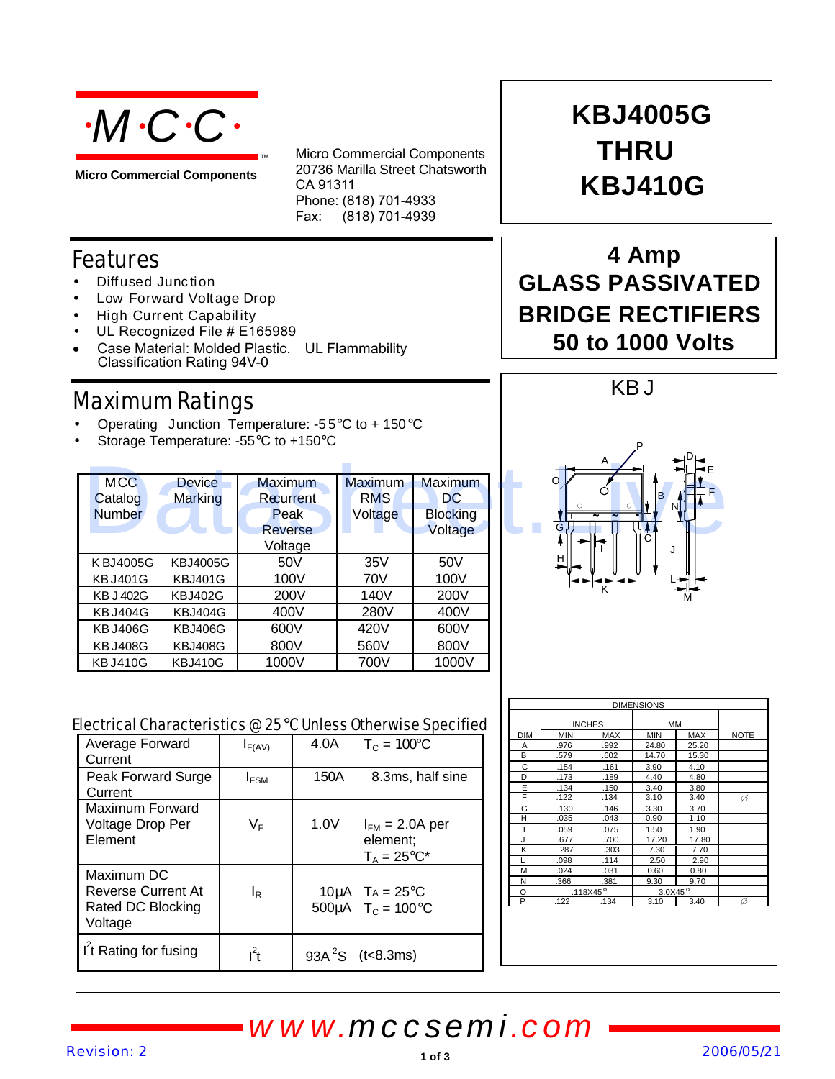

**Micro Commercial Components**

Micro Commercial Components 20736 Marilla Street Chatsworth CA 91311 Phone: (818) 701-4933 Fax: (818) 701-4939

### Features

- Diffused Junction
- Low Forward Voltage Drop
- High Curr ent Capabil ity
- UL Recognized File # E165989
- Case Material: Molded Plastic. UL Flammability Classification Rating 94V-0

### Maximum Ratings

- Operating Junction Temperature: -55 $\mathrm{^{\circ}C}$  to + 150 $\mathrm{^{\circ}C}$
- Storage Temperature: -55°C to +150°C

| <b>MCC</b>       | <b>Device</b>   | Maximum        | <b>Maximum</b> | <b>Maximum</b>  |  |
|------------------|-----------------|----------------|----------------|-----------------|--|
| Catalog          | Marking         | Recurrent      | <b>RMS</b>     | DC.             |  |
| <b>Number</b>    |                 | Peak           | Voltage        | <b>Blocking</b> |  |
|                  |                 | <b>Reverse</b> |                | Voltage         |  |
|                  |                 | Voltage        |                |                 |  |
| KBJ4005G         | <b>KBJ4005G</b> | 50V            | 35V            | 50V             |  |
| <b>KBJ401G</b>   | <b>KBJ401G</b>  | 100V           | 70V            | 100V            |  |
| <b>KB J 402G</b> | <b>KBJ402G</b>  | 200V           | 140V           | 200V            |  |
| <b>KBJ404G</b>   | <b>KBJ404G</b>  | 400V           | 280V           | 400V            |  |
| <b>KBJ406G</b>   | <b>KBJ406G</b>  | 600V           | 420V           | 600V            |  |
| <b>KBJ408G</b>   | <b>KBJ408G</b>  | 800V           | 560V           | 800V            |  |
| <b>KBJ410G</b>   | <b>KBJ410G</b>  | 1000V          | 700V           | 1000V           |  |

# **THRU KBJ410G KBJ4005G**

### **4 Amp GLASS PASSIVATED BRIDGE RECTIFIERS 50 to 1000 Volts**



| Electrical Characteristics @ 25°C Unless Otherwise Specified |  |  |
|--------------------------------------------------------------|--|--|
|                                                              |  |  |

| <b>MCC</b>                                                   | <b>Device</b>   | Maximum          |                    | Maximum               | Maximum          |                               |                    |                            |                     |               |  |
|--------------------------------------------------------------|-----------------|------------------|--------------------|-----------------------|------------------|-------------------------------|--------------------|----------------------------|---------------------|---------------|--|
| Catalog                                                      | <b>Marking</b>  | Recurrent        |                    | <b>RMS</b>            | <b>DC</b>        |                               |                    |                            | B                   |               |  |
| <b>Number</b>                                                |                 | Peak             |                    | Voltage               | <b>Blocking</b>  |                               |                    |                            |                     | ΝI            |  |
|                                                              |                 | <b>Reverse</b>   |                    |                       | Voltage          |                               | G                  |                            |                     |               |  |
|                                                              |                 | Voltage          |                    |                       |                  |                               |                    |                            | J                   |               |  |
| KBJ4005G                                                     | <b>KBJ4005G</b> |                  | 50V                | 35V                   | 50V              |                               | н                  |                            |                     |               |  |
| <b>KBJ401G</b>                                               | <b>KBJ401G</b>  |                  | 100V               | <b>70V</b>            | 100V             |                               |                    |                            |                     |               |  |
| <b>KB J 402G</b>                                             | <b>KBJ402G</b>  |                  | 200V               | 140V                  | 200V             |                               |                    | Ϊć                         |                     |               |  |
| <b>KBJ404G</b>                                               | KBJ404G         | 400V             |                    | 280V                  | 400V             |                               |                    |                            |                     |               |  |
| <b>KBJ406G</b>                                               | <b>KBJ406G</b>  | 600V             |                    | 420V                  | 600V             |                               |                    |                            |                     |               |  |
| <b>KBJ408G</b>                                               | <b>KBJ408G</b>  | 800V             |                    | 560V                  | 800V             |                               |                    |                            |                     |               |  |
| <b>KBJ410G</b>                                               | <b>KBJ410G</b>  | 1000V            |                    | 700V                  | 1000V            |                               |                    |                            |                     |               |  |
|                                                              |                 |                  |                    |                       |                  |                               |                    |                            | <b>DIMENSIONS</b>   |               |  |
| Electrical Characteristics @ 25°C Unless Otherwise Specified |                 |                  |                    |                       |                  |                               | <b>INCHES</b>      |                            | <b>MM</b>           |               |  |
| Average Forward                                              |                 | $I_{F(AV)}$      | 4.0A               | $T_c = 100C$          |                  | <b>DIM</b><br>Α               | <b>MIN</b><br>.976 | MAX<br>.992                | <b>MIN</b><br>24.80 | MAX<br>25.20  |  |
| Current                                                      |                 |                  |                    |                       |                  | В                             | .579               | .602                       | 14.70               | 15.30         |  |
| Peak Forward Surge                                           |                 | I <sub>FSM</sub> | 150A               |                       | 8.3ms, half sine | C<br>D                        | .154<br>.173       | .161<br>.189               | 3.90<br>4.40        | 4.10<br>4.80  |  |
| Current                                                      |                 |                  |                    |                       |                  | E                             | .134               | 150                        | 3.40                | 3.80          |  |
| <b>Maximum Forward</b>                                       |                 |                  |                    |                       |                  | F<br>G                        | .122<br>.130       | .134<br>.146               | 3.10<br>3.30        | 3.40<br>3.70  |  |
| Voltage Drop Per                                             |                 | $V_F$            | 1.0V               | $I_{FM}$ = 2.0A per   |                  | н                             | .035               | .043                       | 0.90                | 1.10          |  |
| Element                                                      |                 |                  |                    | element;              |                  | $\overline{\phantom{a}}$<br>J | .059<br>.677       | .075<br>.700               | 1.50<br>17.20       | 1.90<br>17.80 |  |
|                                                              |                 |                  |                    |                       |                  | Κ                             | .287               | .303                       | 7.30                | 7.70          |  |
|                                                              |                 |                  |                    | $T_A = 25$ °C*        |                  |                               | .098               | .114                       | 2.50                | 2.90          |  |
| Maximum DC                                                   |                 |                  |                    |                       |                  | M<br>$\overline{N}$           | .024<br>366        | .031<br>381                | 0.60<br>9.30        | 0.80<br>9.70  |  |
| <b>Reverse Current At</b>                                    |                 | $I_R$            | $10\mu A$          | $TA = 25^{\circ}C$    |                  | $\circ$                       |                    | .118X45 $\overline{\circ}$ | 3.0X45°             |               |  |
| Rated DC Blocking                                            |                 |                  | 500µA              | $T_c = 100^{\circ}$ C |                  | P                             | 122                | 134                        | 3.10                | 3.40          |  |
| Voltage                                                      |                 |                  |                    |                       |                  |                               |                    |                            |                     |               |  |
|                                                              |                 |                  |                    |                       |                  |                               |                    |                            |                     |               |  |
| I <sup>'</sup> t Rating for fusing                           |                 | $I^2t$           | 93A <sup>2</sup> S | (t<8.3ms)             |                  |                               |                    |                            |                     |               |  |
|                                                              |                 |                  |                    |                       |                  |                               |                    |                            |                     |               |  |
|                                                              |                 |                  |                    |                       |                  |                               |                    |                            |                     |               |  |
|                                                              |                 |                  |                    |                       |                  |                               |                    |                            |                     |               |  |
|                                                              |                 |                  |                    |                       |                  |                               |                    |                            |                     |               |  |
|                                                              |                 |                  |                    |                       | www.mccsemi.com  |                               |                    |                            |                     |               |  |
| <b>Pevision: 2</b>                                           |                 |                  |                    |                       |                  |                               |                    |                            |                     | 200           |  |
|                                                              |                 |                  |                    |                       | 1 of 3           |                               |                    |                            |                     |               |  |

| <b>DIMENSIONS</b> |               |      |            |       |             |  |  |
|-------------------|---------------|------|------------|-------|-------------|--|--|
|                   | <b>INCHES</b> |      | <b>MM</b>  |       |             |  |  |
| <b>DIM</b>        | <b>MIN</b>    | MAX  | <b>MIN</b> | MAX   | <b>NOTE</b> |  |  |
| А                 | .976          | .992 | 24.80      | 25.20 |             |  |  |
| B                 | .579          | .602 | 14.70      | 15.30 |             |  |  |
| C                 | .154          | .161 | 3.90       | 4.10  |             |  |  |
| D                 | .173          | .189 | 4.40       | 4.80  |             |  |  |
| E                 | .134          | .150 | 3.40       | 3.80  |             |  |  |
| F                 | .122          | .134 | 3.10       | 3.40  | ø           |  |  |
| G                 | .130          | .146 | 3.30       | 3.70  |             |  |  |
| Н                 | .035          | .043 | 0.90       | 1.10  |             |  |  |
|                   | .059          | .075 | 1.50       | 1.90  |             |  |  |
| J                 | .677          | .700 | 17.20      | 17.80 |             |  |  |
| K                 | .287          | .303 | 7.30       | 7.70  |             |  |  |
|                   | .098          | .114 | 2.50       | 2.90  |             |  |  |
| M                 | .024          | .031 | 0.60       | 0.80  |             |  |  |
| Ν                 | .366          | .381 | 9.30       | 9.70  |             |  |  |
| O                 | .118X45°      |      | 3.0X45°    |       |             |  |  |
| P                 | .122          | .134 | 3.10       | 3.40  | Ø           |  |  |
|                   |               |      |            |       |             |  |  |

## *www.mccsemi.com*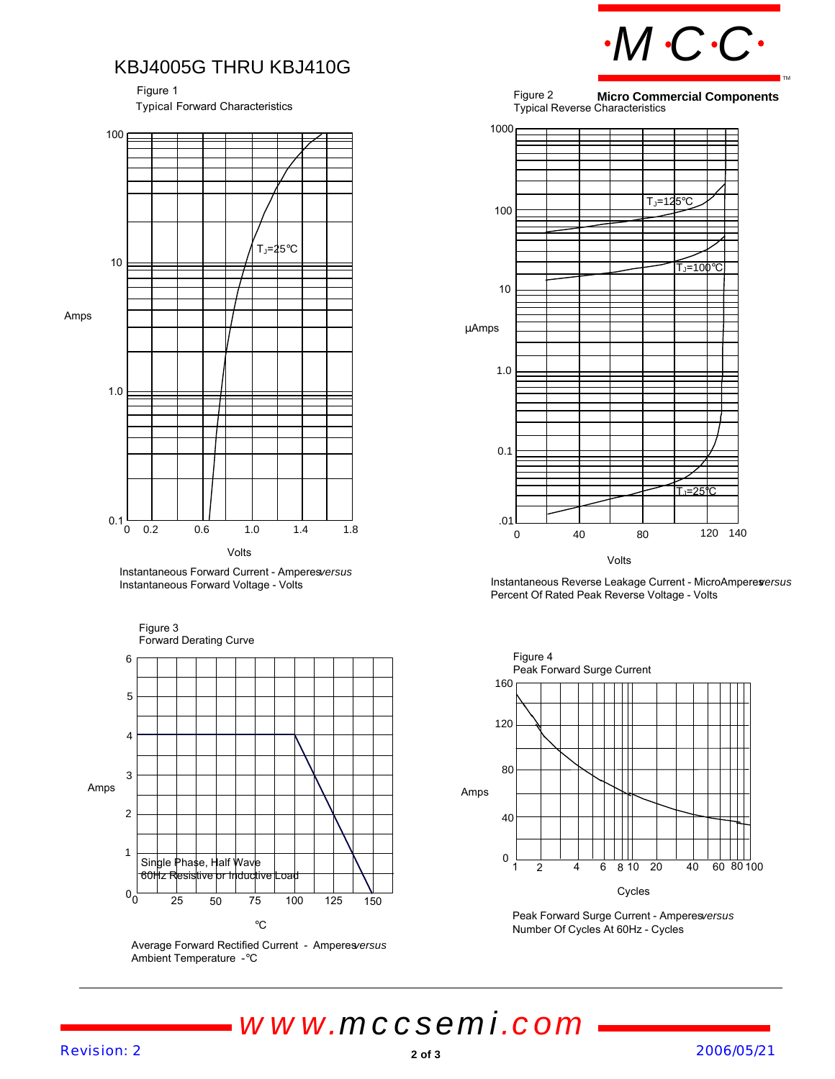*MCC*

TM

#### KBJ4005G THRU KBJ410G

Typical Forward Characteristics Figure 1







Average Forward Rectified Current - Amperes/ersus Ambient Temperature - °C

Figure 2 Typical Reverse Characteristics **Micro Commercial Components**



Instantaneous Reverse Leakage Current - MicroAmperes *versus* Percent Of Rated Peak Reverse Voltage - Volts



Peak Forward Surge Current - Amperesversus Number Of Cycles At 60Hz - Cycles

*www.mccsemi.com*